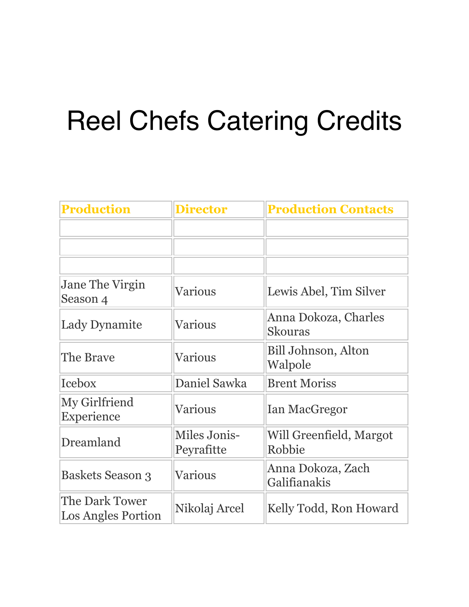## Reel Chefs Catering Credits

| <b>Production</b>                    | <b>Director</b>            | <b>Production Contacts</b>             |
|--------------------------------------|----------------------------|----------------------------------------|
|                                      |                            |                                        |
|                                      |                            |                                        |
|                                      |                            |                                        |
| Jane The Virgin<br>Season 4          | Various                    | Lewis Abel, Tim Silver                 |
| <b>Lady Dynamite</b>                 | Various                    | Anna Dokoza, Charles<br><b>Skouras</b> |
| The Brave                            | <b>Various</b>             | Bill Johnson, Alton<br>Walpole         |
| <b>Icebox</b>                        | Daniel Sawka               | <b>Brent Moriss</b>                    |
| My Girlfriend<br>Experience          | Various                    | <b>Ian MacGregor</b>                   |
| Dreamland                            | Miles Jonis-<br>Peyrafitte | Will Greenfield, Margot<br>Robbie      |
| Baskets Season 3                     | Various                    | Anna Dokoza, Zach<br>Galifianakis      |
| The Dark Tower<br>Los Angles Portion | Nikolaj Arcel              | Kelly Todd, Ron Howard                 |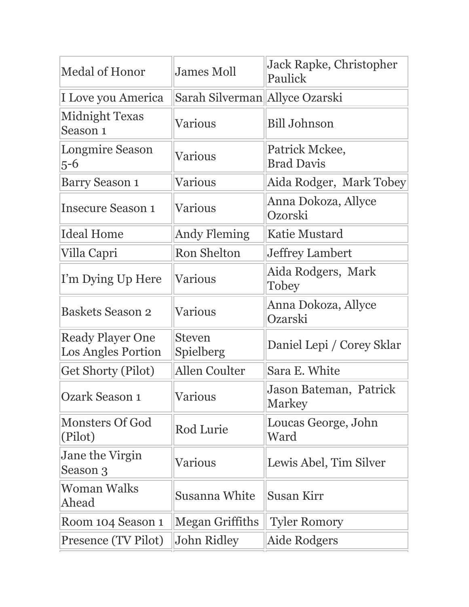| <b>Medal of Honor</b>                                | <b>James Moll</b>              | <b>Jack Rapke, Christopher</b><br>Paulick |
|------------------------------------------------------|--------------------------------|-------------------------------------------|
| I Love you America                                   | Sarah Silverman Allyce Ozarski |                                           |
| <b>Midnight Texas</b><br>Season 1                    | <b>Various</b>                 | <b>Bill Johnson</b>                       |
| <b>Longmire Season</b><br>$5 - 6$                    | Various                        | Patrick Mckee,<br><b>Brad Davis</b>       |
| <b>Barry Season 1</b>                                | Various                        | Aida Rodger, Mark Tobey                   |
| <b>Insecure Season 1</b>                             | Various                        | Anna Dokoza, Allyce<br>Ozorski            |
| <b>Ideal Home</b>                                    | <b>Andy Fleming</b>            | <b>Katie Mustard</b>                      |
| Villa Capri                                          | <b>Ron Shelton</b>             | <b>Jeffrey Lambert</b>                    |
| I'm Dying Up Here                                    | <b>Various</b>                 | Aida Rodgers, Mark<br>Tobey               |
| <b>Baskets Season 2</b>                              | <b>Various</b>                 | Anna Dokoza, Allyce<br>Ozarski            |
| <b>Ready Player One</b><br><b>Los Angles Portion</b> | <b>Steven</b><br>Spielberg     | Daniel Lepi / Corey Sklar                 |
| <b>Get Shorty (Pilot)</b>                            | <b>Allen Coulter</b>           | Sara E. White                             |
| <b>Ozark Season 1</b>                                | Various                        | Jason Bateman, Patrick<br><b>Markey</b>   |
| <b>Monsters Of God</b><br>(Pilot)                    | Rod Lurie                      | Loucas George, John<br>Ward               |
| Jane the Virgin<br>Season 3                          | Various                        | Lewis Abel, Tim Silver                    |
| Woman Walks<br>Ahead                                 | Susanna White                  | Susan Kirr                                |
| Room 104 Season 1                                    | Megan Griffiths                | <b>Tyler Romory</b>                       |
| Presence (TV Pilot)                                  | John Ridley                    | Aide Rodgers                              |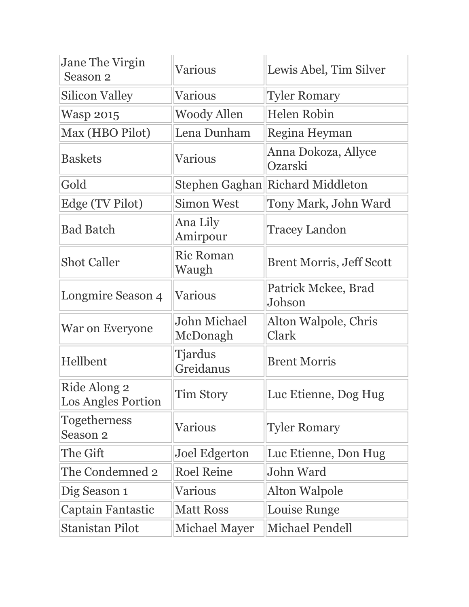| Jane The Virgin<br>Season 2                | Various                     | Lewis Abel, Tim Silver           |
|--------------------------------------------|-----------------------------|----------------------------------|
| <b>Silicon Valley</b>                      | Various                     | <b>Tyler Romary</b>              |
| <b>Wasp 2015</b>                           | <b>Woody Allen</b>          | Helen Robin                      |
| Max (HBO Pilot)                            | Lena Dunham                 | Regina Heyman                    |
| <b>Baskets</b>                             | Various                     | Anna Dokoza, Allyce<br>Ozarski   |
| Gold                                       |                             | Stephen Gaghan Richard Middleton |
| Edge (TV Pilot)                            | <b>Simon West</b>           | Tony Mark, John Ward             |
| <b>Bad Batch</b>                           | Ana Lily<br>Amirpour        | <b>Tracey Landon</b>             |
| <b>Shot Caller</b>                         | <b>Ric Roman</b><br>Waugh   | <b>Brent Morris, Jeff Scott</b>  |
| Longmire Season 4                          | <b>Various</b>              | Patrick Mckee, Brad<br>Johson    |
| War on Everyone                            | John Michael<br>McDonagh    | Alton Walpole, Chris<br>Clark    |
| Hellbent                                   | <b>Tjardus</b><br>Greidanus | <b>Brent Morris</b>              |
| Ride Along 2<br><b>Los Angles Portion</b>  | <b>Tim Story</b>            | Luc Etienne, Dog Hug             |
| <b>Togetherness</b><br>Season <sub>2</sub> | Various                     | <b>Tyler Romary</b>              |
| The Gift                                   | Joel Edgerton               | Luc Etienne, Don Hug             |
| The Condemned 2                            | <b>Roel Reine</b>           | John Ward                        |
| Dig Season 1                               | <b>Various</b>              | Alton Walpole                    |
| Captain Fantastic                          | <b>Matt Ross</b>            | Louise Runge                     |
| Stanistan Pilot                            | Michael Mayer               | <b>Michael Pendell</b>           |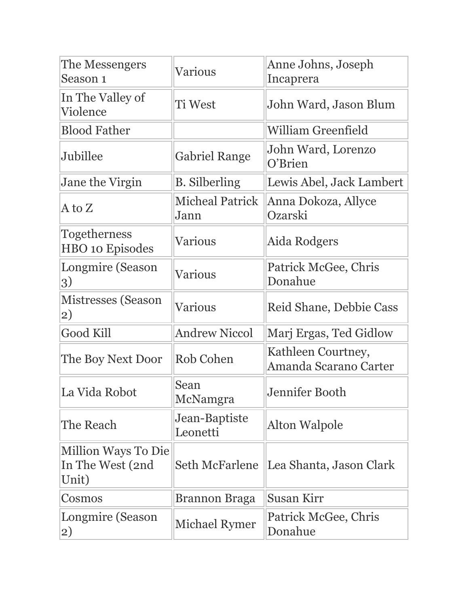| The Messengers<br>Season 1                       | Various                        | Anne Johns, Joseph<br>Incaprera             |
|--------------------------------------------------|--------------------------------|---------------------------------------------|
| In The Valley of<br>Violence                     | <b>Ti West</b>                 | John Ward, Jason Blum                       |
| <b>Blood Father</b>                              |                                | <b>William Greenfield</b>                   |
| Jubillee                                         | <b>Gabriel Range</b>           | John Ward, Lorenzo<br>O'Brien               |
| Jane the Virgin                                  | <b>B.</b> Silberling           | Lewis Abel, Jack Lambert                    |
| $A$ to $Z$                                       | <b>Micheal Patrick</b><br>Jann | Anna Dokoza, Allyce<br>Ozarski              |
| <b>Togetherness</b><br><b>HBO</b> 10 Episodes    | <b>Various</b>                 | Aida Rodgers                                |
| Longmire (Season<br>3)                           | <b>Various</b>                 | Patrick McGee, Chris<br>Donahue             |
| Mistresses (Season<br>2)                         | <b>Various</b>                 | Reid Shane, Debbie Cass                     |
| Good Kill                                        | <b>Andrew Niccol</b>           | Marj Ergas, Ted Gidlow                      |
| The Boy Next Door                                | Rob Cohen                      | Kathleen Courtney,<br>Amanda Scarano Carter |
| La Vida Robot                                    | Sean<br>McNamgra               | Jennifer Booth                              |
| The Reach                                        | Jean-Baptiste<br>Leonetti      | Alton Walpole                               |
| Million Ways To Die<br>In The West (2nd<br>Unit) | <b>Seth McFarlene</b>          | Lea Shanta, Jason Clark                     |
| Cosmos                                           | Brannon Braga                  | <b>Susan Kirr</b>                           |
| Longmire (Season<br>2)                           | Michael Rymer                  | Patrick McGee, Chris<br>Donahue             |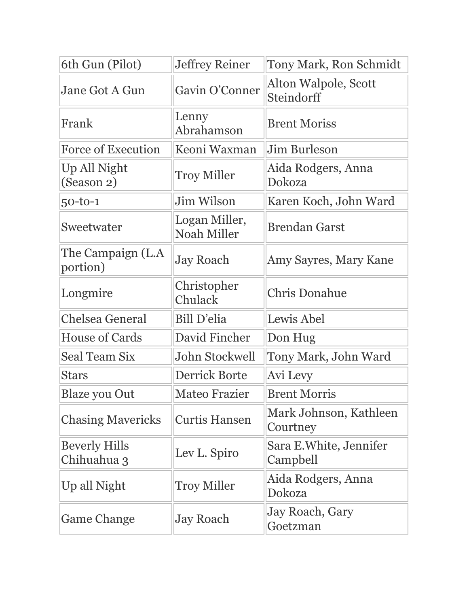| 6th Gun (Pilot)                     | <b>Jeffrey Reiner</b>               | Tony Mark, Ron Schmidt                    |
|-------------------------------------|-------------------------------------|-------------------------------------------|
| Jane Got A Gun                      | Gavin O'Conner                      | Alton Walpole, Scott<br><b>Steindorff</b> |
| Frank                               | Lenny<br>Abrahamson                 | <b>Brent Moriss</b>                       |
| <b>Force of Execution</b>           | Keoni Waxman                        | Jim Burleson                              |
| Up All Night<br>(Season 2)          | <b>Troy Miller</b>                  | Aida Rodgers, Anna<br>Dokoza              |
| $50 - 10 - 1$                       | Jim Wilson                          | Karen Koch, John Ward                     |
| Sweetwater                          | Logan Miller,<br><b>Noah Miller</b> | <b>Brendan Garst</b>                      |
| The Campaign (L.A<br>portion)       | <b>Jay Roach</b>                    | Amy Sayres, Mary Kane                     |
| Longmire                            | Christopher<br>Chulack              | <b>Chris Donahue</b>                      |
| <b>Chelsea General</b>              | Bill D'elia                         | Lewis Abel                                |
| <b>House of Cards</b>               | David Fincher                       | Don Hug                                   |
| <b>Seal Team Six</b>                | John Stockwell                      | Tony Mark, John Ward                      |
| <b>Stars</b>                        | <b>Derrick Borte</b>                | Avi Levy                                  |
| <b>Blaze you Out</b>                | <b>Mateo Frazier</b>                | <b>Brent Morris</b>                       |
| <b>Chasing Mavericks</b>            | <b>Curtis Hansen</b>                | Mark Johnson, Kathleen<br>Courtney        |
| <b>Beverly Hills</b><br>Chihuahua 3 | Lev L. Spiro                        | Sara E.White, Jennifer<br>Campbell        |
| Up all Night                        | <b>Troy Miller</b>                  | Aida Rodgers, Anna<br>Dokoza              |
| <b>Game Change</b>                  | <b>Jay Roach</b>                    | Jay Roach, Gary<br>Goetzman               |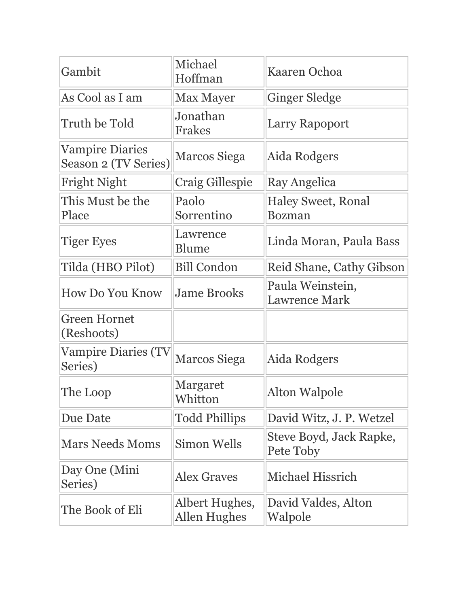| Gambit                                         | Michael<br>Hoffman                    | Kaaren Ochoa                               |
|------------------------------------------------|---------------------------------------|--------------------------------------------|
| As Cool as I am                                | <b>Max Mayer</b>                      | <b>Ginger Sledge</b>                       |
| Truth be Told                                  | Jonathan<br>Frakes                    | Larry Rapoport                             |
| <b>Vampire Diaries</b><br>Season 2 (TV Series) | Marcos Siega                          | Aida Rodgers                               |
| Fright Night                                   | Craig Gillespie                       | Ray Angelica                               |
| This Must be the<br>Place                      | Paolo<br>Sorrentino                   | <b>Haley Sweet, Ronal</b><br><b>Bozman</b> |
| <b>Tiger Eyes</b>                              | Lawrence<br>Blume                     | Linda Moran, Paula Bass                    |
| Tilda (HBO Pilot)                              | <b>Bill Condon</b>                    | Reid Shane, Cathy Gibson                   |
| How Do You Know                                | <b>Jame Brooks</b>                    | Paula Weinstein,<br><b>Lawrence Mark</b>   |
| <b>Green Hornet</b><br>(Reshoots)              |                                       |                                            |
| <b>Vampire Diaries (TV</b><br>Series)          | Marcos Siega                          | Aida Rodgers                               |
| The Loop                                       | Margaret<br>Whitton                   | <b>Alton Walpole</b>                       |
| Due Date                                       | <b>Todd Phillips</b>                  | David Witz, J. P. Wetzel                   |
| <b>Mars Needs Moms</b>                         | Simon Wells                           | Steve Boyd, Jack Rapke,<br>Pete Toby       |
| Day One (Mini<br>Series)                       | <b>Alex Graves</b>                    | <b>Michael Hissrich</b>                    |
| The Book of Eli                                | Albert Hughes,<br><b>Allen Hughes</b> | David Valdes, Alton<br>Walpole             |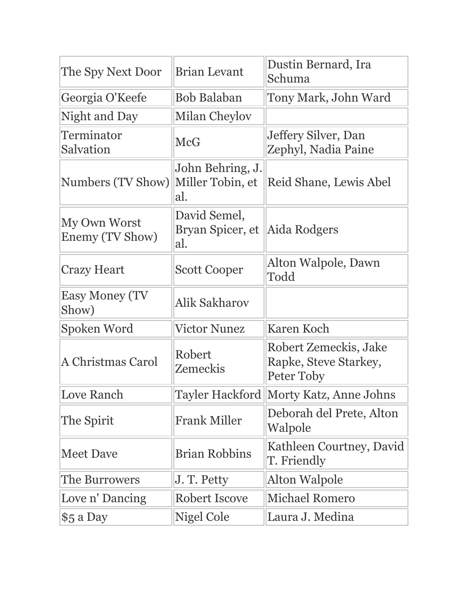| The Spy Next Door               | <b>Brian Levant</b>                         | Dustin Bernard, Ira<br>Schuma                                |
|---------------------------------|---------------------------------------------|--------------------------------------------------------------|
| Georgia O'Keefe                 | Bob Balaban                                 | Tony Mark, John Ward                                         |
| Night and Day                   | Milan Cheylov                               |                                                              |
| Terminator<br>Salvation         | <b>McG</b>                                  | Jeffery Silver, Dan<br>Zephyl, Nadia Paine                   |
| Numbers (TV Show)               | John Behring, J.<br>Miller Tobin, et<br>al. | Reid Shane, Lewis Abel                                       |
| My Own Worst<br>Enemy (TV Show) | David Semel,<br>Bryan Spicer, et<br>al.     | Aida Rodgers                                                 |
| <b>Crazy Heart</b>              | <b>Scott Cooper</b>                         | Alton Walpole, Dawn<br>Todd                                  |
| <b>Easy Money (TV</b><br>Show)  | Alik Sakharov                               |                                                              |
| Spoken Word                     | <b>Victor Nunez</b>                         | <b>Karen Koch</b>                                            |
| A Christmas Carol               | Robert<br>Zemeckis                          | Robert Zemeckis, Jake<br>Rapke, Steve Starkey,<br>Peter Toby |
| Love Ranch                      | Tayler Hackford                             | Morty Katz, Anne Johns                                       |
| The Spirit                      | <b>Frank Miller</b>                         | Deborah del Prete, Alton<br>Walpole                          |
| <b>Meet Dave</b>                | <b>Brian Robbins</b>                        | Kathleen Courtney, David<br>T. Friendly                      |
| The Burrowers                   | J. T. Petty                                 | <b>Alton Walpole</b>                                         |
| Love n' Dancing                 | Robert Iscove                               | <b>Michael Romero</b>                                        |
| \$5 a Day                       | Nigel Cole                                  | Laura J. Medina                                              |